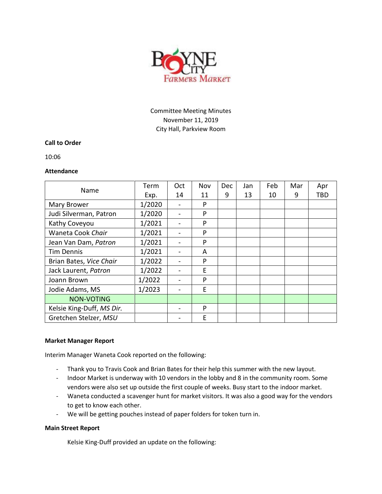

# Committee Meeting Minutes November 11, 2019 City Hall, Parkview Room

## **Call to Order**

10:06

#### **Attendance**

| Name                      | Term   | Oct                          | Nov | <b>Dec</b> | Jan | Feb | Mar | Apr |
|---------------------------|--------|------------------------------|-----|------------|-----|-----|-----|-----|
|                           | Exp.   | 14                           | 11  | 9          | 13  | 10  | 9   | TBD |
| Mary Brower               | 1/2020 |                              | P   |            |     |     |     |     |
| Judi Silverman, Patron    | 1/2020 | -                            | P   |            |     |     |     |     |
| Kathy Coveyou             | 1/2021 | $\qquad \qquad \blacksquare$ | P   |            |     |     |     |     |
| Waneta Cook Chair         | 1/2021 | -                            | P   |            |     |     |     |     |
| Jean Van Dam, Patron      | 1/2021 |                              | P   |            |     |     |     |     |
| <b>Tim Dennis</b>         | 1/2021 |                              | A   |            |     |     |     |     |
| Brian Bates, Vice Chair   | 1/2022 |                              | P   |            |     |     |     |     |
| Jack Laurent, Patron      | 1/2022 |                              | Е   |            |     |     |     |     |
| Joann Brown               | 1/2022 |                              | P   |            |     |     |     |     |
| Jodie Adams, MS           | 1/2023 | $\overline{\phantom{0}}$     | E   |            |     |     |     |     |
| <b>NON-VOTING</b>         |        |                              |     |            |     |     |     |     |
| Kelsie King-Duff, MS Dir. |        |                              | P   |            |     |     |     |     |
| Gretchen Stelzer, MSU     |        |                              | E   |            |     |     |     |     |

#### **Market Manager Report**

Interim Manager Waneta Cook reported on the following:

- Thank you to Travis Cook and Brian Bates for their help this summer with the new layout.
- Indoor Market is underway with 10 vendors in the lobby and 8 in the community room. Some vendors were also set up outside the first couple of weeks. Busy start to the indoor market.
- Waneta conducted a scavenger hunt for market visitors. It was also a good way for the vendors to get to know each other.
- We will be getting pouches instead of paper folders for token turn in.

#### **Main Street Report**

Kelsie King-Duff provided an update on the following: